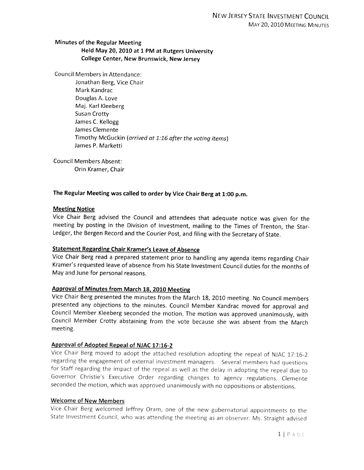## Minutes of the Regular Meeting Held May 20, <sup>2010</sup> at <sup>1</sup> PM at Rutgers University College Center, New Brunswick, New Jersey

Council Members in Attendance:

Jonathan Berg, Vice Chair Mark Kandrac Douglas A. Love Maj. Karl Kleeberg Susan Crotty James C. Kellogg James Clemente Timothy McGuckin (arrived at 1:16 after the voting items) James P. Marketti

Council Members Absent: Orin Kramer, Chair

## The Regular Meeting was called to order by Vice Chair Berg at 1:00 p.m.

#### Meeting Notice

Vice Chair Berg advised the Council and attendees that adequate notice was <sup>g</sup>iven for the meeting by posting in the Division of Investment, mailing to the Times of Trenton, the Star-Ledger, the Bergen Record and the Courier Post, and filing with the Secretary of State.

# Statement Regarding Chair Kramer's leave of Absence

Vice Chair Berg read <sup>a</sup> prepared statement prior to handling any agenda items regarding Chair Kramer's requested leave of absence from his State Investment Council duties for the months of May and June for personal reasons.

# approval of Minutes from March 18, <sup>2010</sup> Meeting

Vice Chair Berg presented the minutes from the March 18, <sup>2010</sup> meeting. No Council members presented any objections to the minutes. Council Member Kandrac moved for approval and Council Member Kleeberg seconded the motion. The motion was approved unanimously, with Council Member Crotty abstaining from the vote because she was absent from the March meeting.

## Approval of Adopted Repeal of NJAC 17:16-2

Vice Chair Berg moved to adopt the attached resolution adopting the repeal of NJAC 17:16-2 regarding the engagement of external investment managers. Several members had questions for Staff regarding the impact of the repeal as well as the delay in adopting the repeal due to Governor Christie's Executive Order regarding changes to agency regulations. Clernente seconded the motion, which was approved unanimously with no oppositions or abstentions.

#### Welcome of New Members

Vice Chair Berg welcomed Jeffrey Oram, one of the new gubernatorial appointments to the State Investment Council, who was attending the meeting as an observer. Ms. Straight advised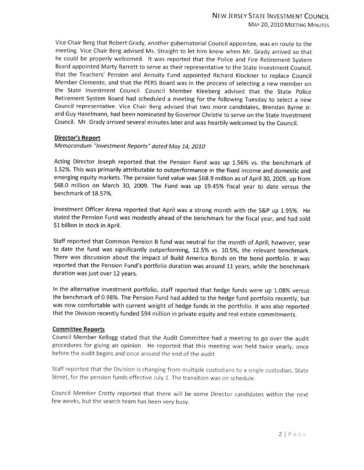Vice Chair Berg that Robert Grady, another gubernatorial Council appointee, was en route to the meeting. Vice Chair Berg advised Ms. Straight to let him know when Mr. Grady arrived so that he could be properly welcomed. It was reported that the Police and Fire Retirement System Board appointed Marty Barrett to serve as their representative to the State Investment Council, that the Teachers' Pension and Annuity Fund appointed Richard Kiockner to replace Council Member Clemente, and that the PERS Board was in the process of selecting <sup>a</sup> new member on the State Investment Council. Council Member Kleeberg advised that the State Police Retirement System Board had scheduled <sup>a</sup> meeting for the following Tuesday to select <sup>a</sup> new Council representative. Vice Chair Berg advised that two more candidates, Brendan Byrne Jr. and Guy Haselmann, had been nominated by Governor Christie to serve on the State Investment Council. Mr. Grady arrived several minutes later and was heartily welcomed by the Council.

## Director's Report

Memorandum '7nvestment Reports" dated May 14, <sup>2010</sup>

Acting Director Joseph reported that the Pension Fund was up 1.56% vs. the benchmark of 1.52%. This was primarily attributable to outperformance in the fixed income and domestic and emerging equity markets. The pension fund value was \$68.9 million as of April 30, 2009, up from \$68.0 million on March 30, 2009. The Fund was up 19.45% fiscal year to date versus the benchmark of 18.57%.

Investment Officer Arena reported that April was <sup>a</sup> strong month with the S&P up 1.95%. He stated the Pension Fund was modestly ahead of the benchmark for the fiscal year, and had sold \$1 billion in stock in April.

Staff reported that Common Pension <sup>B</sup> fund was neutral for the month of April; however, year to date the fund was significantly outperforming, 12.5% vs. 10.5%, the relevant benchmark. There was discussion about the impact of Build America Bonds on the bond portfolio. It was reported that the Pension Fund's portfolio duration was around <sup>11</sup> years, while the benchmark duration was just over <sup>12</sup> years.

In the alternative investment portfolio, staff reported that hedge funds were up 1.08% versus the benchmark of 0.98%. The Pension Fund had added to the hedge fund portfolio recently, but was now comfortable with current weight of hedge funds in the portfolio. It was also reported that the Division recently funded \$94 million in private equity and real estate commitments.

## Committee Reports

Council Member Kellogg stated that the Audit Committee had <sup>a</sup> meeting to go over the audit procedures for <sup>g</sup>iving an opinion. He reported that this meeting was held twice yearly, once before the audit begins and once around the end of the audit.

Staff reported that the Division is changing from multiple custodians to <sup>a</sup> single custodian, State Street, for the pension funds effective July 1. The transition was on schedule.

Council Member Crotty reported that there will be some Director candidates within the next few weeks, but the search team has been very busy.